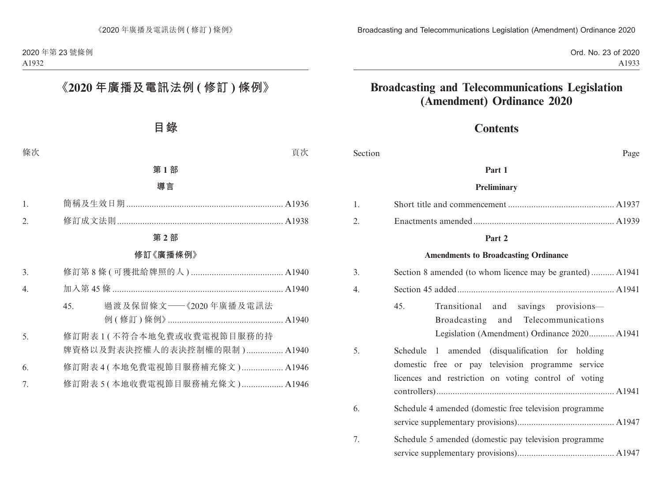Ord. No. 23 of 2020 A1933

# **Broadcasting and Telecommunications Legislation (Amendment) Ordinance 2020**

## **Contents**

| Section | Page                                                                                                                                                          |  |
|---------|---------------------------------------------------------------------------------------------------------------------------------------------------------------|--|
|         | Part 1                                                                                                                                                        |  |
|         | <b>Preliminary</b>                                                                                                                                            |  |
| 1.      |                                                                                                                                                               |  |
| 2.      |                                                                                                                                                               |  |
|         | Part 2                                                                                                                                                        |  |
|         | <b>Amendments to Broadcasting Ordinance</b>                                                                                                                   |  |
| 3.      | Section 8 amended (to whom licence may be granted) A1941                                                                                                      |  |
| 4.      |                                                                                                                                                               |  |
|         | 45.<br>Transitional and savings provisions-<br>Broadcasting and<br>Telecommunications<br>Legislation (Amendment) Ordinance 2020 A1941                         |  |
| 5.      | Schedule 1 amended (disqualification for holding<br>domestic free or pay television programme service<br>licences and restriction on voting control of voting |  |
| 6.      | Schedule 4 amended (domestic free television programme                                                                                                        |  |
| 7.      | Schedule 5 amended (domestic pay television programme                                                                                                         |  |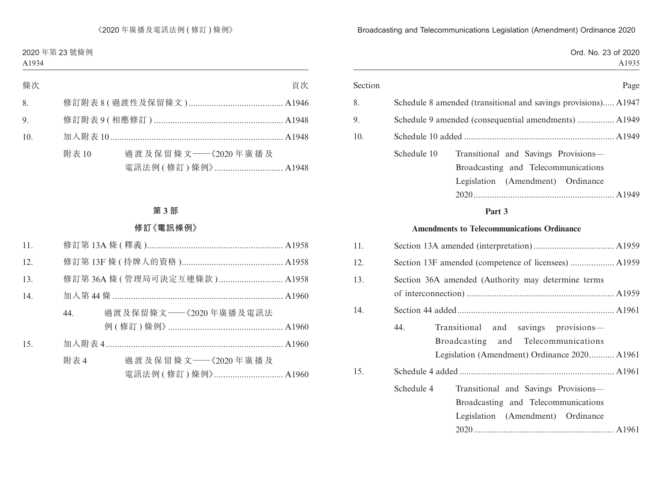Ord. No. 23 of 2020 A1935

| Section |             |                                                                | Page  |
|---------|-------------|----------------------------------------------------------------|-------|
| 8.      |             | Schedule 8 amended (transitional and savings provisions) A1947 |       |
| 9.      |             | Schedule 9 amended (consequential amendments)  A1949           |       |
| 10.     |             |                                                                |       |
|         | Schedule 10 | Transitional and Savings Provisions-                           |       |
|         |             | Broadcasting and Telecommunications                            |       |
|         |             | Legislation<br>(Amendment)<br>Ordinance                        |       |
|         |             | 2020.                                                          | A1949 |
|         |             |                                                                |       |

#### **Part 3**

#### **Amendments to Telecommunications Ordinance**

| 11. |            |                                                                                                                             |
|-----|------------|-----------------------------------------------------------------------------------------------------------------------------|
| 12. |            |                                                                                                                             |
| 13. |            | Section 36A amended (Authority may determine terms                                                                          |
| 14. |            |                                                                                                                             |
|     | 44.        | Transitional and savings provisions—<br>Broadcasting and Telecommunications<br>Legislation (Amendment) Ordinance 2020 A1961 |
| 15. |            |                                                                                                                             |
|     | Schedule 4 | Transitional and Savings Provisions-<br>Broadcasting and Telecommunications<br>Legislation (Amendment) Ordinance            |
|     |            |                                                                                                                             |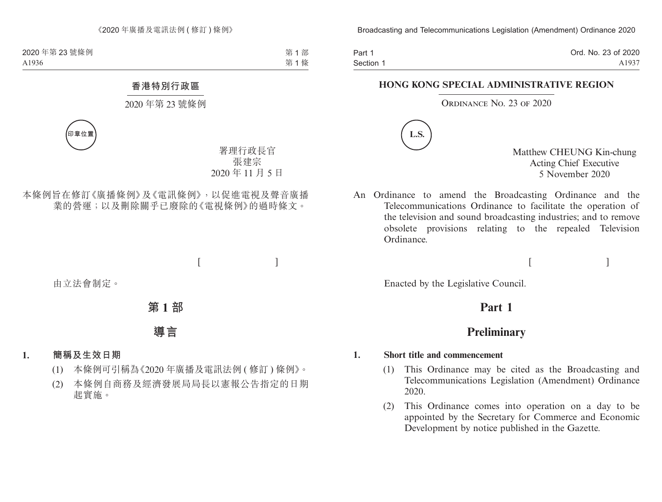Part 1 Section 1 Ord. No. 23 of 2020 A1937

#### **HONG KONG SPECIAL ADMINISTRATIVE REGION**

#### ORDINANCE NO. 23 OF 2020



Matthew CHEUNG Kin-chung Acting Chief Executive 5 November 2020

 $[$ 

An Ordinance to amend the Broadcasting Ordinance and the Telecommunications Ordinance to facilitate the operation of the television and sound broadcasting industries; and to remove obsolete provisions relating to the repealed Television Ordinance.

Enacted by the Legislative Council.

## **Part 1**

## **Preliminary**

#### **1. Short title and commencement**

- (1) This Ordinance may be cited as the Broadcasting and Telecommunications Legislation (Amendment) Ordinance 2020.
- (2) This Ordinance comes into operation on a day to be appointed by the Secretary for Commerce and Economic Development by notice published in the Gazette.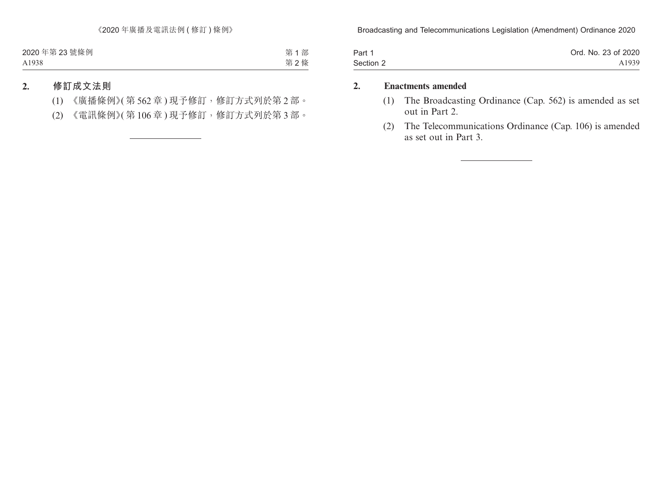| Part 1    | Ord. No. 23 of 2020 |
|-----------|---------------------|
| Section 2 | A1939               |

#### **2. Enactments amended**

- (1) The Broadcasting Ordinance (Cap. 562) is amended as set out in Part 2.
- (2) The Telecommunications Ordinance (Cap. 106) is amended as set out in Part 3.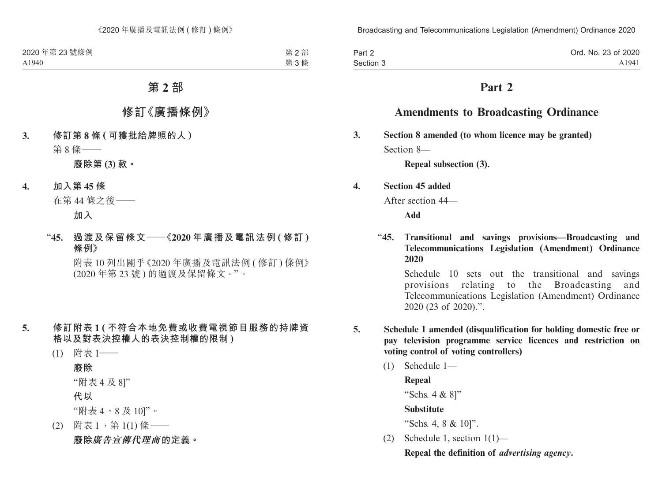| Part 2    | Ord. No. 23 of 2020 |
|-----------|---------------------|
| Section 3 | A1941               |

## **Part 2**

## **Amendments to Broadcasting Ordinance**

**3. Section 8 amended (to whom licence may be granted)** Section 8—

**Repeal subsection (3).**

**4. Section 45 added**

After section 44—

**Add**

"**45. Transitional and savings provisions—Broadcasting and Telecommunications Legislation (Amendment) Ordinance 2020**

Schedule 10 sets out the transitional and savings provisions relating to the Broadcasting and Telecommunications Legislation (Amendment) Ordinance 2020 (23 of 2020).".

- **5. Schedule 1 amended (disqualification for holding domestic free or pay television programme service licences and restriction on voting control of voting controllers)**
	- (1) Schedule 1—
	- **Repeal** "Schs. 4 & 8]" **Substitute** "Schs. 4, 8 & 10]". (2) Schedule 1, section 1(1)—

**Repeal the definition of** *advertising agency***.**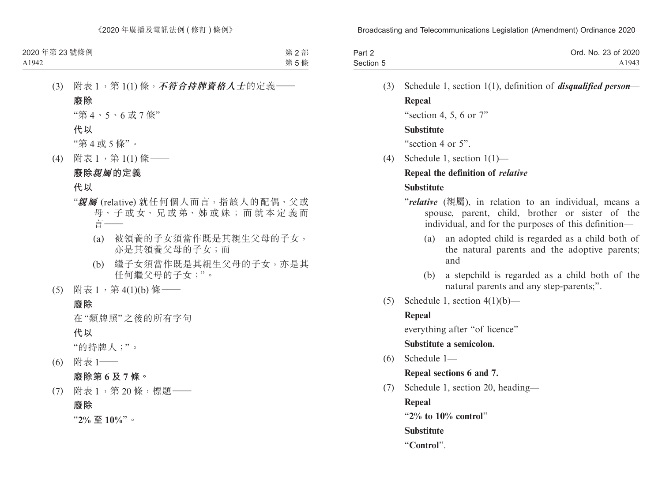| Part 2    | Ord. No. 23 of 2020 |
|-----------|---------------------|
| Section 5 | A1943               |

(3) Schedule 1, section 1(1), definition of *disqualified person*— **Repeal**

"section 4, 5, 6 or  $7"$ 

#### **Substitute**

"section 4 or 5".

(4) Schedule 1, section 1(1)—

#### **Repeal the definition of** *relative*

#### **Substitute**

- "*relative* (親屬), in relation to an individual, means a spouse, parent, child, brother or sister of the individual, and for the purposes of this definition—
	- (a) an adopted child is regarded as a child both of the natural parents and the adoptive parents; and
	- (b) a stepchild is regarded as a child both of the natural parents and any step-parents;".
- (5) Schedule 1, section  $4(1)(b)$ —

### **Repeal**

everything after "of licence"

### **Substitute a semicolon.**

(6) Schedule 1—

**Repeal sections 6 and 7.**

(7) Schedule 1, section 20, heading—

**Repeal**

"**2% to 10% control**"

**Substitute**

"**Control**".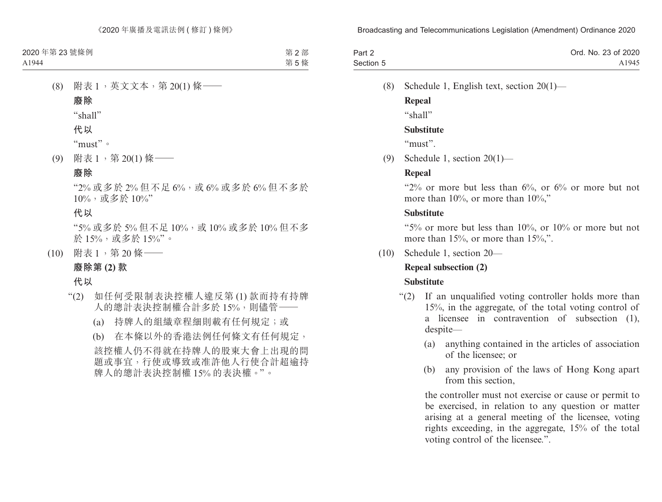| Part 2    | Ord. No. 23 of 2020 |
|-----------|---------------------|
| Section 5 | A1945               |

(8) Schedule 1, English text, section 20(1)—

**Repeal**

"shall"

#### **Substitute**

"must".

(9) Schedule 1, section 20(1)—

### **Repeal**

" $2\%$  or more but less than  $6\%$ , or  $6\%$  or more but not more than 10%, or more than 10%,"

#### **Substitute**

"5% or more but less than 10%, or 10% or more but not more than 15%, or more than 15%,".

(10) Schedule 1, section 20—

### **Repeal subsection (2)**

### **Substitute**

- "(2) If an unqualified voting controller holds more than 15%, in the aggregate, of the total voting control of a licensee in contravention of subsection (1), despite—
	- (a) anything contained in the articles of association of the licensee; or
	- (b) any provision of the laws of Hong Kong apart from this section,

the controller must not exercise or cause or permit to be exercised, in relation to any question or matter arising at a general meeting of the licensee, voting rights exceeding, in the aggregate, 15% of the total voting control of the licensee.".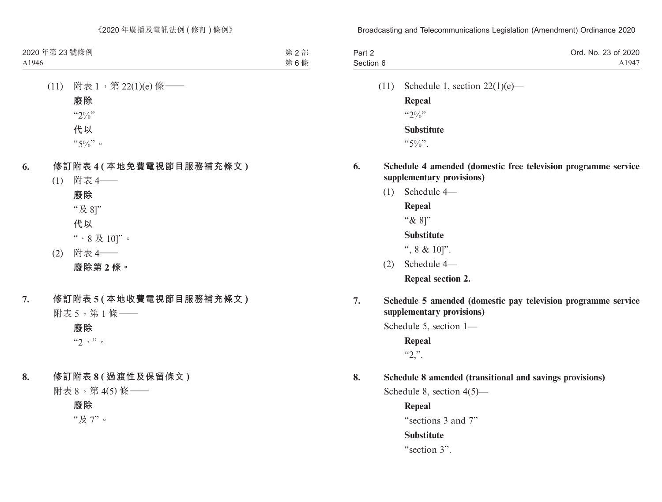| Part 2    | Ord. No. 23 of 2020 |
|-----------|---------------------|
| Section 6 | A1947               |

(11) Schedule 1, section  $22(1)(e)$ — **Repeal**

 $"20/2"$ **Substitute**

 $``5\%"$ .

- **6. Schedule 4 amended (domestic free television programme service supplementary provisions)**
	- (1) Schedule 4—

**Repeal**

"& 8]"

**Substitute**

", 8 & 10]".

(2) Schedule 4—

**Repeal section 2.**

**7. Schedule 5 amended (domestic pay television programme service supplementary provisions)**

Schedule 5, section 1—

**Repeal**  $"2."$ .

**8. Schedule 8 amended (transitional and savings provisions)**

Schedule 8, section 4(5)—

**Repeal** "sections 3 and 7" **Substitute** "section 3".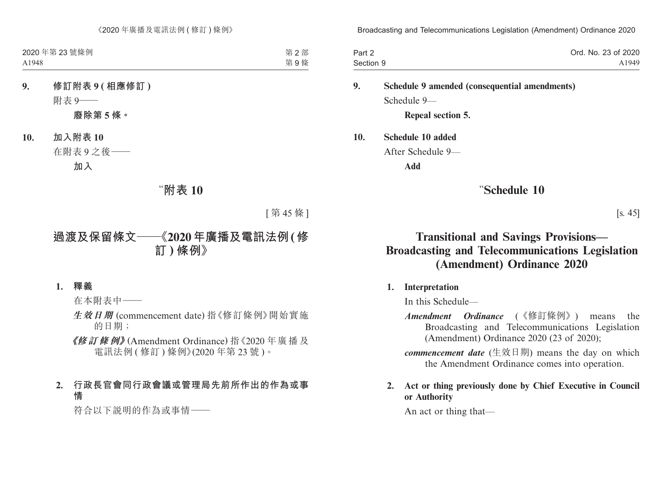| Part 2    | Ord. No. 23 of 2020 |
|-----------|---------------------|
| Section 9 | A1949               |

**9. Schedule 9 amended (consequential amendments)** Schedule 9—

**Repeal section 5.**

**10. Schedule 10 added**

After Schedule 9—

**Add**

### "**Schedule 10**

[s. 45]

## **Transitional and Savings Provisions— Broadcasting and Telecommunications Legislation (Amendment) Ordinance 2020**

#### **1. Interpretation**

In this Schedule—

*Amendment Ordinance* (《修訂條例》) means the Broadcasting and Telecommunications Legislation (Amendment) Ordinance 2020 (23 of 2020);

*commencement date* (生效日期) means the day on which the Amendment Ordinance comes into operation.

#### **2. Act or thing previously done by Chief Executive in Council or Authority**

An act or thing that—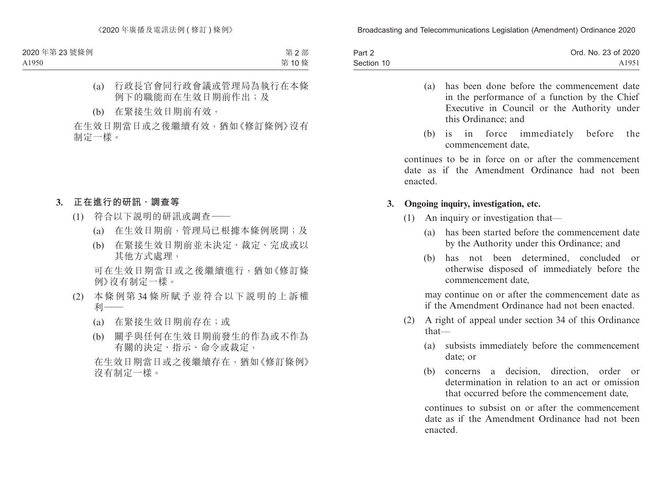| Part 2     | Ord. No. 23 of 2020 |
|------------|---------------------|
| Section 10 | A1951               |

- (a) has been done before the commencement date in the performance of a function by the Chief Executive in Council or the Authority under this Ordinance; and
- (b) is in force immediately before the commencement date,

continues to be in force on or after the commencement date as if the Amendment Ordinance had not been enacted.

#### **3. Ongoing inquiry, investigation, etc.**

- (1) An inquiry or investigation that—
	- (a) has been started before the commencement date by the Authority under this Ordinance; and
	- (b) has not been determined, concluded or otherwise disposed of immediately before the commencement date,

may continue on or after the commencement date as if the Amendment Ordinance had not been enacted.

- (2) A right of appeal under section 34 of this Ordinance that—
	- (a) subsists immediately before the commencement date; or
	- (b) concerns a decision, direction, order or determination in relation to an act or omission that occurred before the commencement date,

continues to subsist on or after the commencement date as if the Amendment Ordinance had not been enacted.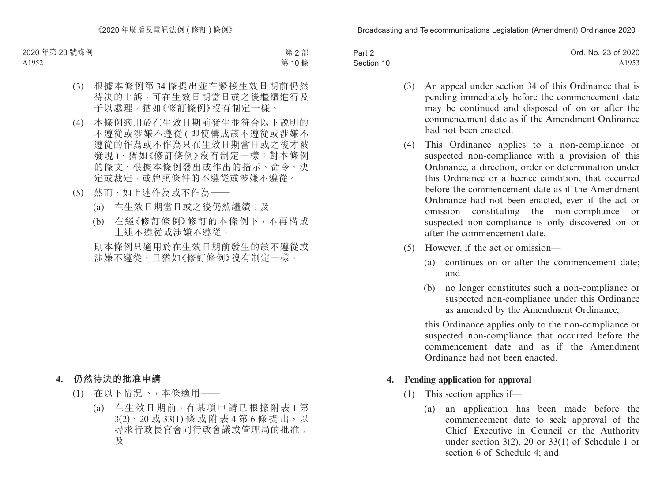| Part 2     | Ord. No. 23 of 2020 |
|------------|---------------------|
| Section 10 | A1953               |

- (3) An appeal under section 34 of this Ordinance that is pending immediately before the commencement date may be continued and disposed of on or after the commencement date as if the Amendment Ordinance had not been enacted.
- (4) This Ordinance applies to a non-compliance or suspected non-compliance with a provision of this Ordinance, a direction, order or determination under this Ordinance or a licence condition, that occurred before the commencement date as if the Amendment Ordinance had not been enacted, even if the act or omission constituting the non-compliance or suspected non-compliance is only discovered on or after the commencement date.
- (5) However, if the act or omission—
	- (a) continues on or after the commencement date; and
	- (b) no longer constitutes such a non-compliance or suspected non-compliance under this Ordinance as amended by the Amendment Ordinance,

this Ordinance applies only to the non-compliance or suspected non-compliance that occurred before the commencement date and as if the Amendment Ordinance had not been enacted.

#### **4. Pending application for approval**

- (1) This section applies if—
	- (a) an application has been made before the commencement date to seek approval of the Chief Executive in Council or the Authority under section 3(2), 20 or 33(1) of Schedule 1 or section 6 of Schedule 4; and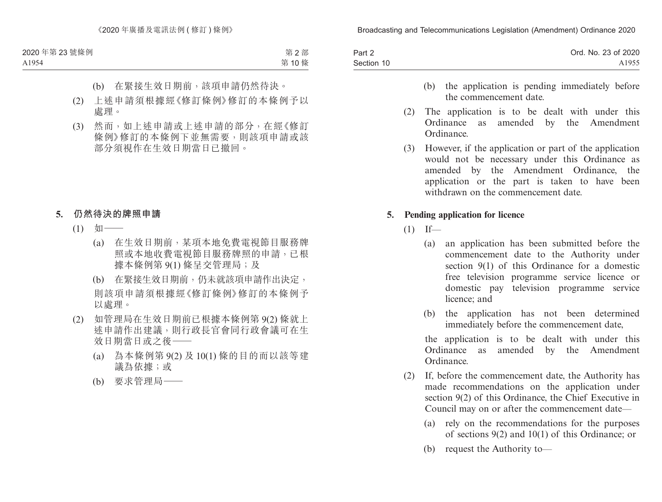| Part 2     | Ord. No. 23 of 2020 |
|------------|---------------------|
| Section 10 | A1955               |

- (b) the application is pending immediately before the commencement date.
- (2) The application is to be dealt with under this Ordinance as amended by the Amendment Ordinance.
- (3) However, if the application or part of the application would not be necessary under this Ordinance as amended by the Amendment Ordinance, the application or the part is taken to have been withdrawn on the commencement date.

#### **5. Pending application for licence**

- $(1)$  If—
	- (a) an application has been submitted before the commencement date to the Authority under section 9(1) of this Ordinance for a domestic free television programme service licence or domestic pay television programme service licence; and
	- (b) the application has not been determined immediately before the commencement date,

the application is to be dealt with under this Ordinance as amended by the Amendment Ordinance.

- (2) If, before the commencement date, the Authority has made recommendations on the application under section 9(2) of this Ordinance, the Chief Executive in Council may on or after the commencement date—
	- (a) rely on the recommendations for the purposes of sections 9(2) and 10(1) of this Ordinance; or
	- (b) request the Authority to—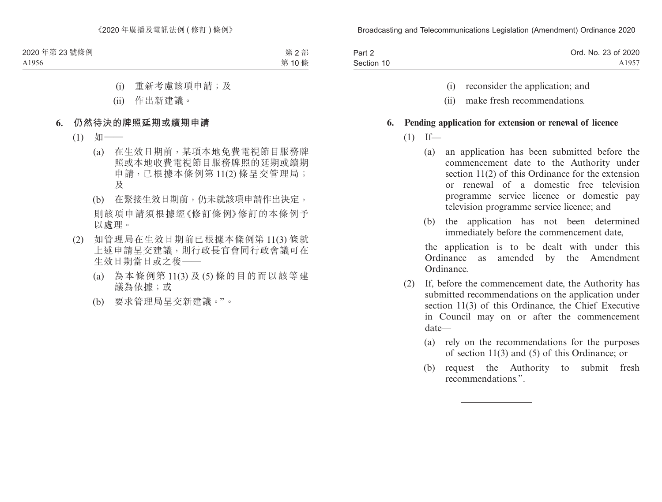| Part 2     | Ord. No. 23 of 2020 |
|------------|---------------------|
| Section 10 | A1957               |

- (i) reconsider the application; and
- (ii) make fresh recommendations.

#### **6. Pending application for extension or renewal of licence**

- $(1)$  If—
	- (a) an application has been submitted before the commencement date to the Authority under section 11(2) of this Ordinance for the extension or renewal of a domestic free television programme service licence or domestic pay television programme service licence; and
	- (b) the application has not been determined immediately before the commencement date,

the application is to be dealt with under this Ordinance as amended by the Amendment Ordinance.

- (2) If, before the commencement date, the Authority has submitted recommendations on the application under section 11(3) of this Ordinance, the Chief Executive in Council may on or after the commencement date—
	- (a) rely on the recommendations for the purposes of section 11(3) and (5) of this Ordinance; or
	- (b) request the Authority to submit fresh recommendations.".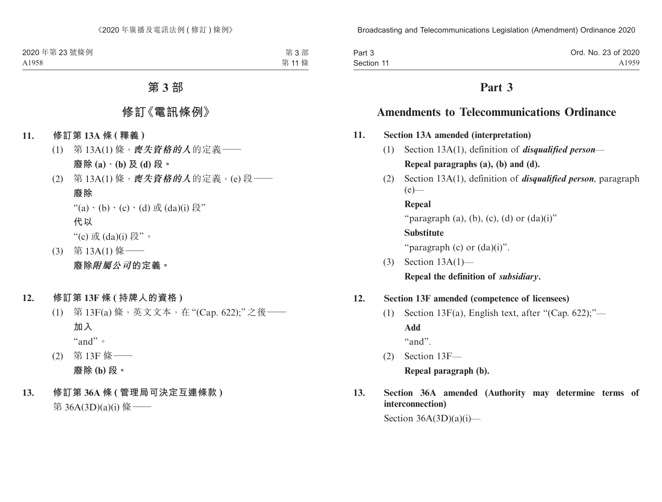| Part 3     | Ord. No. 23 of 2020 |
|------------|---------------------|
| Section 11 | A <sub>1959</sub>   |

## **Part 3**

## **Amendments to Telecommunications Ordinance**

- **11. Section 13A amended (interpretation)**
	- (1) Section 13A(1), definition of *disqualified person* **Repeal paragraphs (a), (b) and (d).**
	- (2) Section 13A(1), definition of *disqualified person*, paragraph  $(e)$ —

**Repeal** "paragraph (a), (b), (c), (d) or  $(da)(i)$ " **Substitute** "paragraph  $(c)$  or  $(da)(i)$ ".

(3) Section 13A(1)— **Repeal the definition of** *subsidiary***.**

### **12. Section 13F amended (competence of licensees)**

(1) Section 13 $F(a)$ , English text, after "(Cap. 622);"— **Add**

"and".

- (2) Section 13F— **Repeal paragraph (b).**
- **13. Section 36A amended (Authority may determine terms of interconnection)**

Section  $36A(3D)(a)(i)$ —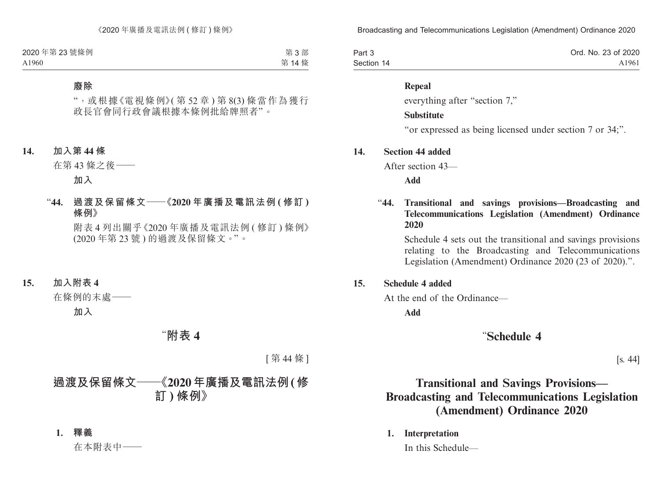| Part 3     | Ord. No. 23 of 2020 |
|------------|---------------------|
| Section 14 | A1961               |

#### **Repeal**

everything after "section 7,"

#### **Substitute**

"or expressed as being licensed under section 7 or 34;".

#### **14. Section 44 added**

After section 43—

**Add**

#### "**44. Transitional and savings provisions—Broadcasting and Telecommunications Legislation (Amendment) Ordinance 2020**

Schedule 4 sets out the transitional and savings provisions relating to the Broadcasting and Telecommunications Legislation (Amendment) Ordinance 2020 (23 of 2020).".

#### **15. Schedule 4 added**

At the end of the Ordinance—

**Add**

### "**Schedule 4**

[s. 44]

# **Transitional and Savings Provisions— Broadcasting and Telecommunications Legislation (Amendment) Ordinance 2020**

**1. Interpretation**

In this Schedule—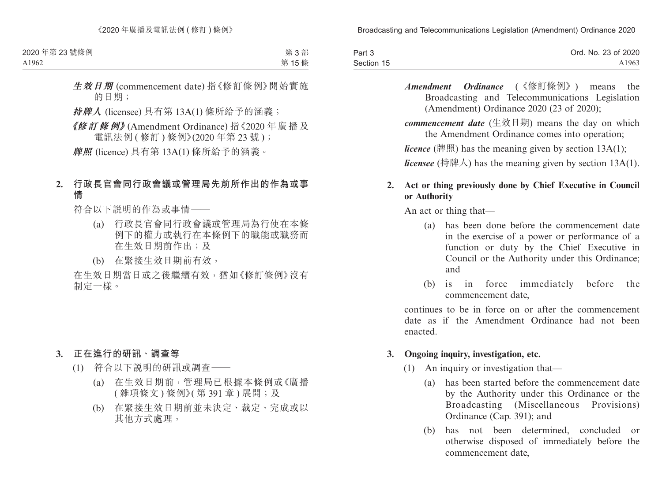| Part 3     | Ord. No. 23 of 2020 |
|------------|---------------------|
| Section 15 | A1963               |

*Amendment Ordinance* (《修訂條例》) means the Broadcasting and Telecommunications Legislation (Amendment) Ordinance 2020 (23 of 2020);

*commencement date* (生效日期) means the day on which the Amendment Ordinance comes into operation;

*licence* (牌照) has the meaning given by section 13A(1);

*licensee* (持牌人) has the meaning given by section 13A(1).

#### **2. Act or thing previously done by Chief Executive in Council or Authority**

An act or thing that—

- (a) has been done before the commencement date in the exercise of a power or performance of a function or duty by the Chief Executive in Council or the Authority under this Ordinance; and
- (b) is in force immediately before the commencement date,

continues to be in force on or after the commencement date as if the Amendment Ordinance had not been enacted.

#### **3. Ongoing inquiry, investigation, etc.**

- (1) An inquiry or investigation that—
	- (a) has been started before the commencement date by the Authority under this Ordinance or the Broadcasting (Miscellaneous Provisions) Ordinance (Cap. 391); and
	- (b) has not been determined, concluded or otherwise disposed of immediately before the commencement date,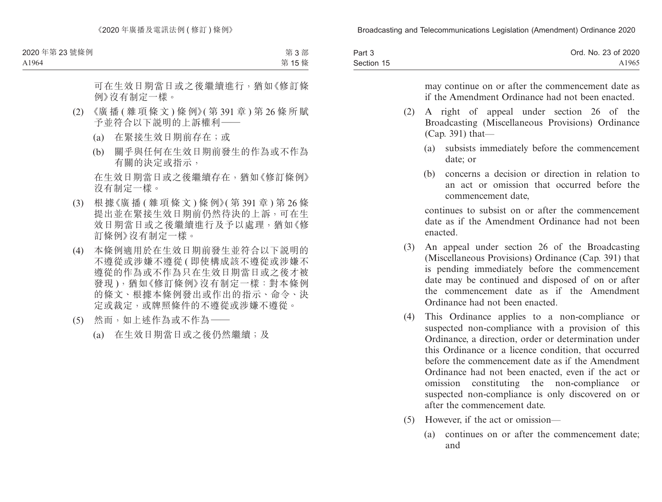| Part 3     | Ord. No. 23 of 2020 |
|------------|---------------------|
| Section 15 | A <sub>1965</sub>   |

may continue on or after the commencement date as if the Amendment Ordinance had not been enacted.

- (2) A right of appeal under section 26 of the Broadcasting (Miscellaneous Provisions) Ordinance (Cap. 391) that—
	- (a) subsists immediately before the commencement date; or
	- (b) concerns a decision or direction in relation to an act or omission that occurred before the commencement date,

continues to subsist on or after the commencement date as if the Amendment Ordinance had not been enacted.

- (3) An appeal under section 26 of the Broadcasting (Miscellaneous Provisions) Ordinance (Cap. 391) that is pending immediately before the commencement date may be continued and disposed of on or after the commencement date as if the Amendment Ordinance had not been enacted.
- (4) This Ordinance applies to a non-compliance or suspected non-compliance with a provision of this Ordinance, a direction, order or determination under this Ordinance or a licence condition, that occurred before the commencement date as if the Amendment Ordinance had not been enacted, even if the act or omission constituting the non-compliance or suspected non-compliance is only discovered on or after the commencement date.
- (5) However, if the act or omission—
	- (a) continues on or after the commencement date; and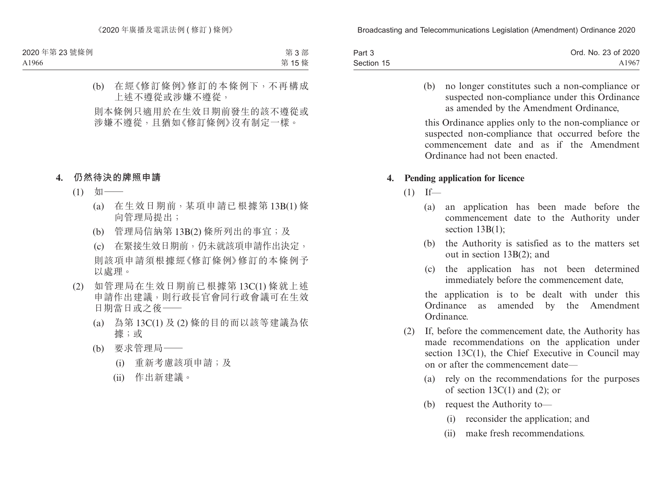| Part 3     | Ord. No. 23 of 2020 |
|------------|---------------------|
| Section 15 | A1967               |

(b) no longer constitutes such a non-compliance or suspected non-compliance under this Ordinance as amended by the Amendment Ordinance,

this Ordinance applies only to the non-compliance or suspected non-compliance that occurred before the commencement date and as if the Amendment Ordinance had not been enacted.

#### **4. Pending application for licence**

- $(1)$  If—
	- (a) an application has been made before the commencement date to the Authority under section 13B(1);
	- (b) the Authority is satisfied as to the matters set out in section 13B(2); and
	- (c) the application has not been determined immediately before the commencement date,

the application is to be dealt with under this Ordinance as amended by the Amendment Ordinance.

- (2) If, before the commencement date, the Authority has made recommendations on the application under section 13C(1), the Chief Executive in Council may on or after the commencement date—
	- (a) rely on the recommendations for the purposes of section  $13C(1)$  and  $(2)$ ; or
	- (b) request the Authority to—
		- (i) reconsider the application; and
		- (ii) make fresh recommendations.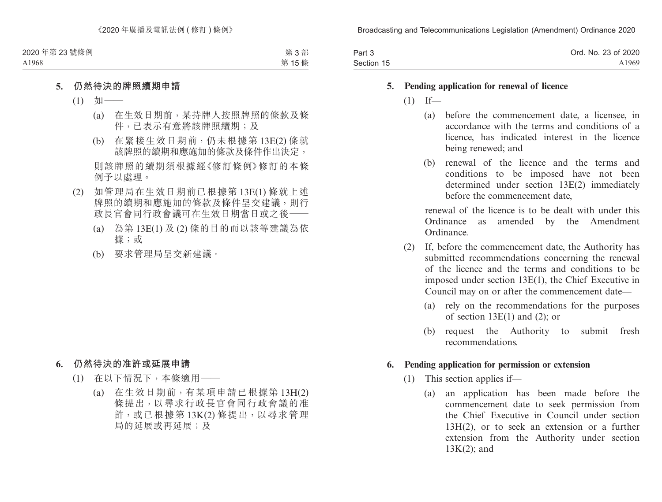| Part 3     | Ord. No. 23 of 2020 |
|------------|---------------------|
| Section 15 | A1969               |

#### **5. Pending application for renewal of licence**

- $(1)$  If—
	- (a) before the commencement date, a licensee, in accordance with the terms and conditions of a licence, has indicated interest in the licence being renewed; and
	- (b) renewal of the licence and the terms and conditions to be imposed have not been determined under section 13E(2) immediately before the commencement date,

renewal of the licence is to be dealt with under this Ordinance as amended by the Amendment Ordinance.

- (2) If, before the commencement date, the Authority has submitted recommendations concerning the renewal of the licence and the terms and conditions to be imposed under section 13E(1), the Chief Executive in Council may on or after the commencement date—
	- (a) rely on the recommendations for the purposes of section  $13E(1)$  and (2); or
	- (b) request the Authority to submit fresh recommendations.

#### **6. Pending application for permission or extension**

- (1) This section applies if—
	- (a) an application has been made before the commencement date to seek permission from the Chief Executive in Council under section 13H(2), or to seek an extension or a further extension from the Authority under section 13K(2); and